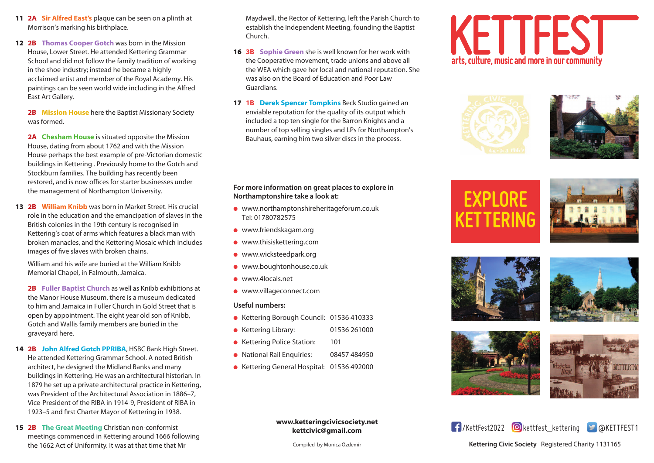- **11 2A Sir Alfred East's** plaque can be seen on a plinth at Morrison's marking his birthplace.
- **12 2B Thomas Cooper Gotch** was born in the Mission House, Lower Street. He attended Kettering Grammar School and did not follow the family tradition of working in the shoe industry; instead he became a highly acclaimed artist and member of the Royal Academy. His paintings can be seen world wide including in the Alfred East Art Gallery.

**2B Mission House** here the Baptist Missionary Society was formed.

**2A Chesham House** is situated opposite the Mission House, dating from about 1762 and with the Mission House perhaps the best example of pre-Victorian domestic buildings in Kettering . Previously home to the Gotch and Stockburn families. The building has recently been restored, and is now offices for starter businesses under the management of Northampton University.

**13 2B William Knibb** was born in Market Street. His crucial role in the education and the emancipation of slaves in the British colonies in the 19th century is recognised in Kettering's coat of arms which features a black man with broken manacles, and the Kettering Mosaic which includes images of five slaves with broken chains.

William and his wife are buried at the William Knibb Memorial Chapel, in Falmouth, Jamaica.

**2B Fuller Baptist Church** as well as Knibb exhibitions at the Manor House Museum, there is a museum dedicated to him and Jamaica in Fuller Church in Gold Street that is open by appointment. The eight year old son of Knibb, Gotch and Wallis family members are buried in the graveyard here.

- **14 2B John Alfred Gotch PPRIBA**, HSBC Bank High Street. He attended Kettering Grammar School. A noted British architect, he designed the Midland Banks and many buildings in Kettering. He was an architectural historian. In 1879 he set up a private architectural practice in Kettering, was President of the Architectural Association in 1886–7, Vice-President of the RIBA in 1914-9, President of RIBA in 1923–5 and first Charter Mayor of Kettering in 1938.
- **15 2B The Great Meeting** Christian non-conformist meetings commenced in Kettering around 1666 following the 1662 Act of Uniformity. It was at that time that Mr

Maydwell, the Rector of Kettering, left the Parish Church to establish the Independent Meeting, founding the Baptist Church.

- **16 3B Sophie Green** she is well known for her work with the Cooperative movement, trade unions and above all the WEA which gave her local and national reputation. She was also on the Board of Education and Poor Law Guardians.
- **17 1B Derek Spencer Tompkins** Beck Studio gained an enviable reputation for the quality of its output which included a top ten single for the Barron Knights and a number of top selling singles and LPs for Northampton's Bauhaus, earning him two silver discs in the process.

**For more information on great places to explore in Northamptonshire take a look at:**

- l www.northamptonshireheritageforum.co.uk Tel: 01780782575
- **.** www.friendskagam.org
- $\bullet$  www.thisiskettering.com
- **•** www.wicksteedpark.org
- $\bullet$  www.boughtonhouse.co.uk
- $\bullet$  www.4locals.net
- **.** www.villageconnect.com

## **Useful numbers:**

- Kettering Borough Council: 01536 410333
- l Kettering Library: 01536 261000
- Kettering Police Station: 101
- **National Rail Enquiries: 08457 484950**
- Kettering General Hospital: 01536 492000

**www.ketteringcivicsociety.net kettcivic@gmail.com**

Compiled by Monica Özdemir







# **EXPLORE KETTERING**











# /KettFest2022 kettfest\_kettering @KettFest1

**Kettering Civic Society** Registered Charity 1131165